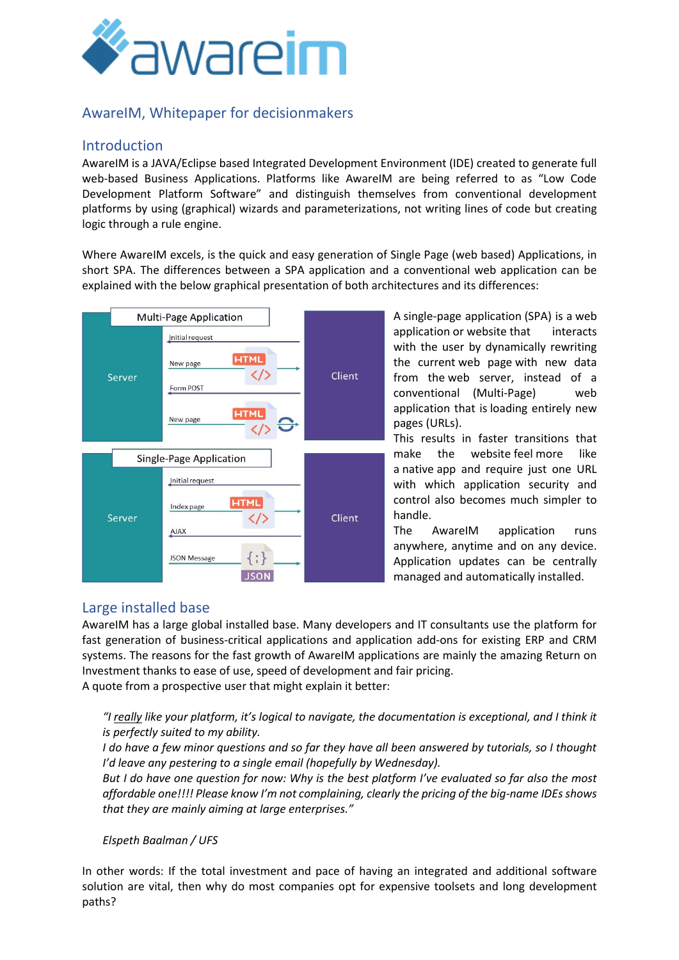

# AwareIM, Whitepaper for decisionmakers

#### Introduction

AwareIM is a JAVA/Eclipse based Integrated Development Environment (IDE) created to generate full web-based Business Applications. Platforms like AwareIM are being referred to as "Low Code Development Platform Software" and distinguish themselves from conventional development platforms by using (graphical) wizards and parameterizations, not writing lines of code but creating logic through a rule engine.

Where AwareIM excels, is the quick and easy generation of Single Page (web based) Applications, in short SPA. The differences between a SPA application and a conventional web application can be explained with the below graphical presentation of both architectures and its differences:



A single-page application (SPA) is a [web](https://en.wikipedia.org/wiki/Web_application)  [application](https://en.wikipedia.org/wiki/Web_application) or [website](https://en.wikipedia.org/wiki/Website) that interacts with the user by dynamically rewriting the current [web page](https://en.wikipedia.org/wiki/Web_design) with new data from the [web server,](https://en.wikipedia.org/wiki/Web_server) instead of a conventional (Multi-Page) web application that is loading entirely new pages (URLs).

This results in faster transitions that make the website [feel](https://en.wikipedia.org/wiki/User_experience) more like a [native](https://en.wikipedia.org/wiki/Native_(computing)) [app](https://en.wikipedia.org/wiki/Application_software) and require just one URL with which application security and control also becomes much simpler to handle.

The AwareIM application runs anywhere, anytime and on any device. Application updates can be centrally managed and automatically installed.

### Large installed base

AwareIM has a large global installed base. Many developers and IT consultants use the platform for fast generation of business-critical applications and application add-ons for existing ERP and CRM systems. The reasons for the fast growth of AwareIM applications are mainly the amazing Return on Investment thanks to ease of use, speed of development and fair pricing.

A quote from a prospective user that might explain it better:

#### *"I really like your platform, it's logical to navigate, the documentation is exceptional, and I think it is perfectly suited to my ability.*

*I do have a few minor questions and so far they have all been answered by tutorials, so I thought I'd leave any pestering to a single email (hopefully by Wednesday).*

*But I do have one question for now: Why is the best platform I've evaluated so far also the most affordable one!!!! Please know I'm not complaining, clearly the pricing of the big-name IDEs shows that they are mainly aiming at large enterprises."*

#### *Elspeth Baalman / UFS*

In other words: If the total investment and pace of having an integrated and additional software solution are vital, then why do most companies opt for expensive toolsets and long development paths?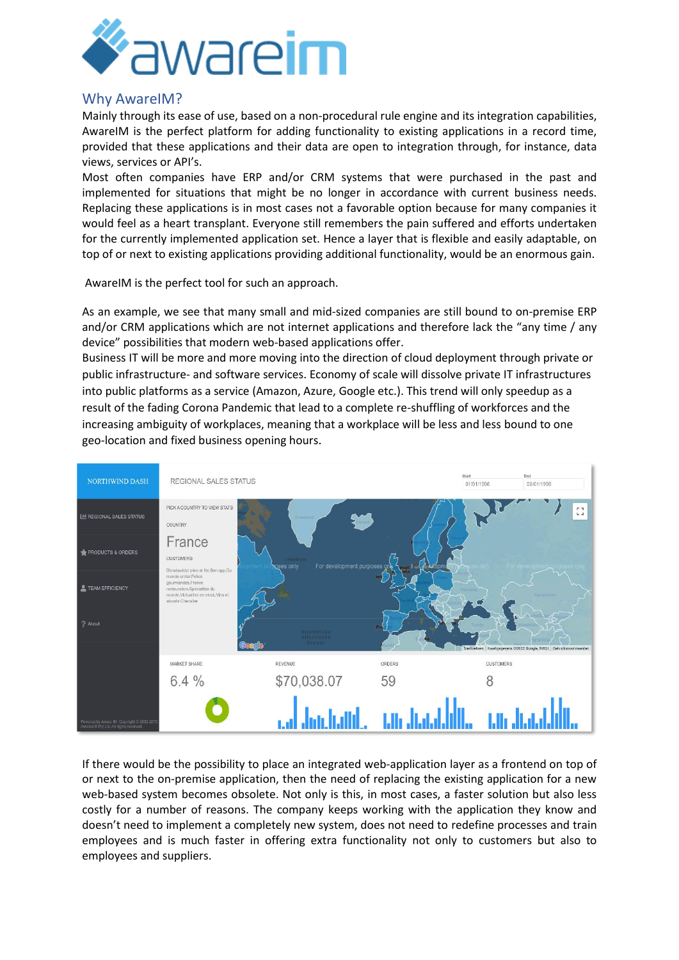

#### Why AwareIM?

Mainly through its ease of use, based on a non-procedural rule engine and its integration capabilities, AwareIM is the perfect platform for adding functionality to existing applications in a record time, provided that these applications and their data are open to integration through, for instance, data views, services or API's.

Most often companies have ERP and/or CRM systems that were purchased in the past and implemented for situations that might be no longer in accordance with current business needs. Replacing these applications is in most cases not a favorable option because for many companies it would feel as a heart transplant. Everyone still remembers the pain suffered and efforts undertaken for the currently implemented application set. Hence a layer that is flexible and easily adaptable, on top of or next to existing applications providing additional functionality, would be an enormous gain.

AwareIM is the perfect tool for such an approach.

As an example, we see that many small and mid-sized companies are still bound to on-premise ERP and/or CRM applications which are not internet applications and therefore lack the "any time / any device" possibilities that modern web-based applications offer.

Business IT will be more and more moving into the direction of cloud deployment through private or public infrastructure- and software services. Economy of scale will dissolve private IT infrastructures into public platforms as a service (Amazon, Azure, Google etc.). This trend will only speedup as a result of the fading Corona Pandemic that lead to a complete re-shuffling of workforces and the increasing ambiguity of workplaces, meaning that a workplace will be less and less bound to one geo-location and fixed business opening hours.



If there would be the possibility to place an integrated web-application layer as a frontend on top of or next to the on-premise application, then the need of replacing the existing application for a new web-based system becomes obsolete. Not only is this, in most cases, a faster solution but also less costly for a number of reasons. The company keeps working with the application they know and doesn't need to implement a completely new system, does not need to redefine processes and train employees and is much faster in offering extra functionality not only to customers but also to employees and suppliers.